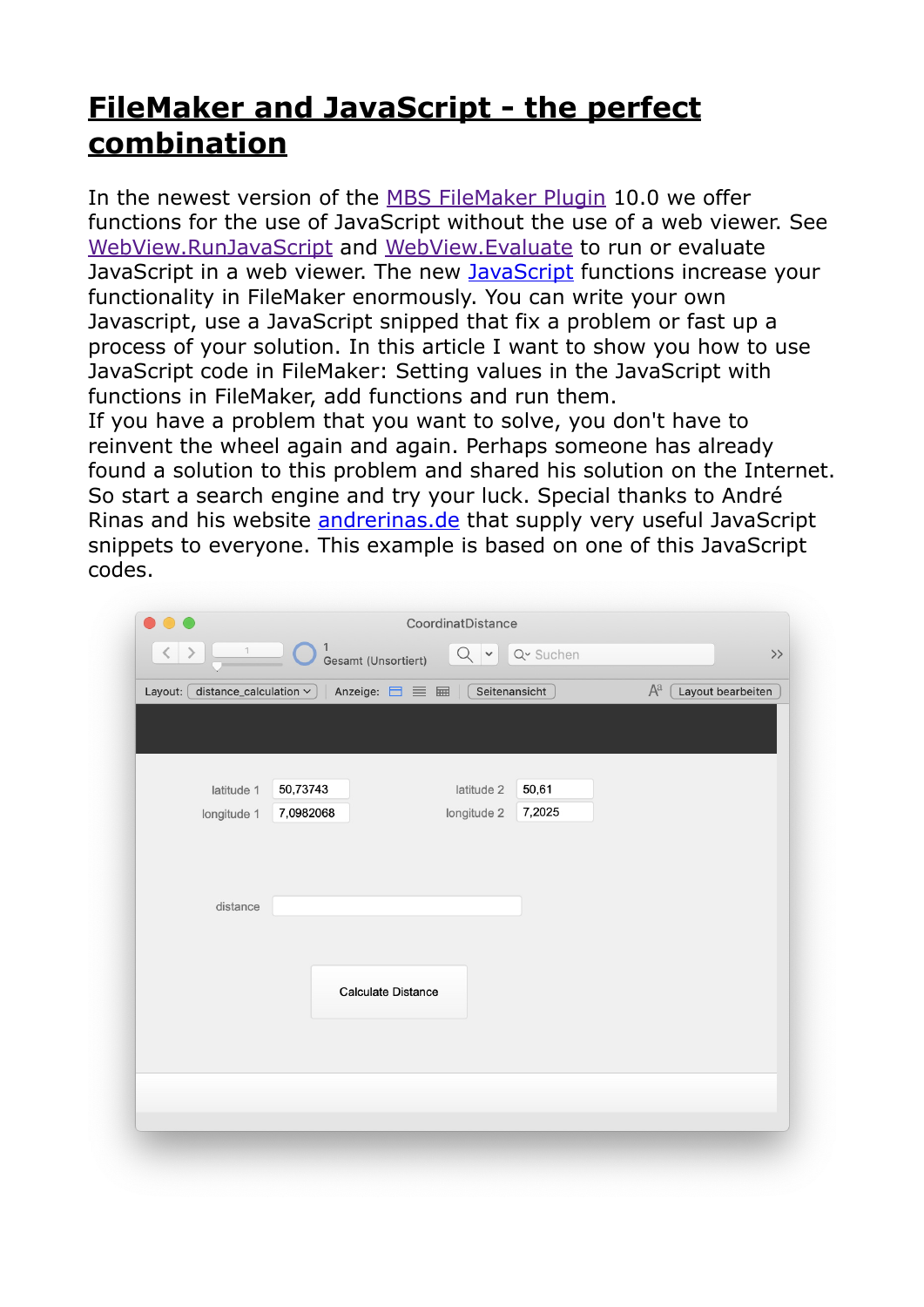## **[FileMaker and JavaScript - the perfect](https://www.mbs-plugins.com/archive/2020-02-03/FileMaker_and_JavaScript_-_the)  [combination](https://www.mbs-plugins.com/archive/2020-02-03/FileMaker_and_JavaScript_-_the)**

In the newest version of the [MBS FileMaker Plugin](https://www.monkeybreadsoftware.com/filemaker/) 10.0 we offer functions for the use of JavaScript without the use of a web viewer. See [WebView.RunJavaScript](https://www.mbsplugins.eu/WebViewRunJavaScript.shtml) and [WebView.Evaluate](https://www.mbsplugins.eu/WebViewEvaluate.shtml) to run or evaluate [JavaScript](https://www.mbsplugins.eu/component_JavaScript.shtml) in a web viewer. The new JavaScript functions increase your functionality in FileMaker enormously. You can write your own Javascript, use a JavaScript snipped that fix a problem or fast up a process of your solution. In this article I want to show you how to use JavaScript code in FileMaker: Setting values in the JavaScript with functions in FileMaker, add functions and run them.

If you have a problem that you want to solve, you don't have to reinvent the wheel again and again. Perhaps someone has already found a solution to this problem and shared his solution on the Internet. So start a search engine and try your luck. Special thanks to André Rinas and his website [andrerinas.de](https://www.andrerinas.de/) that supply very useful JavaScript snippets to everyone. This example is based on one of this JavaScript codes.

| $\lt$<br>$\mathbf{1}$                      | 1                               | CoordinatDistance |                 |       |                        |
|--------------------------------------------|---------------------------------|-------------------|-----------------|-------|------------------------|
| $\rightarrow$                              | Gesamt (Unsortiert)             | $\checkmark$      | Q v Suchen      |       | $\left. \right\rangle$ |
| Layout: $\int$ distance_calculation $\sim$ | Anzeige: $\Box \equiv \boxplus$ | Seitenansicht     |                 | $A^a$ | Layout bearbeiten      |
|                                            |                                 |                   |                 |       |                        |
|                                            |                                 |                   |                 |       |                        |
|                                            |                                 |                   |                 |       |                        |
| latitude 1                                 | 50,73743                        | latitude 2        | 50,61<br>7,2025 |       |                        |
| longitude 1                                | 7,0982068                       | longitude 2       |                 |       |                        |
|                                            |                                 |                   |                 |       |                        |
|                                            |                                 |                   |                 |       |                        |
| distance                                   |                                 |                   |                 |       |                        |
|                                            |                                 |                   |                 |       |                        |
|                                            |                                 |                   |                 |       |                        |
|                                            |                                 |                   |                 |       |                        |
|                                            | <b>Calculate Distance</b>       |                   |                 |       |                        |
|                                            |                                 |                   |                 |       |                        |
|                                            |                                 |                   |                 |       |                        |
|                                            |                                 |                   |                 |       |                        |
|                                            |                                 |                   |                 |       |                        |
|                                            |                                 |                   |                 |       |                        |
|                                            |                                 |                   |                 |       |                        |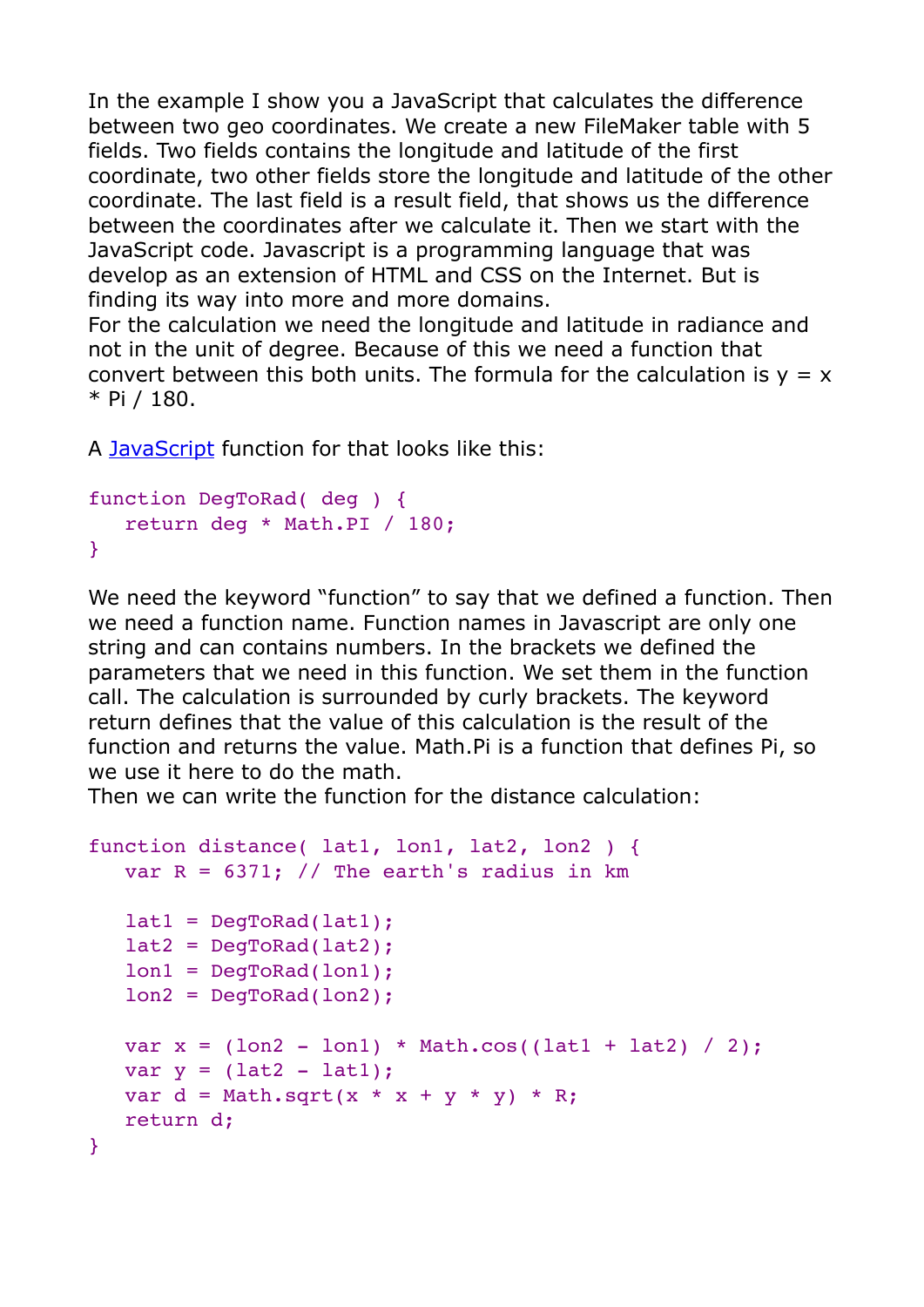In the example I show you a JavaScript that calculates the difference between two geo coordinates. We create a new FileMaker table with 5 fields. Two fields contains the longitude and latitude of the first coordinate, two other fields store the longitude and latitude of the other coordinate. The last field is a result field, that shows us the difference between the coordinates after we calculate it. Then we start with the JavaScript code. Javascript is a programming language that was develop as an extension of HTML and CSS on the Internet. But is finding its way into more and more domains.

For the calculation we need the longitude and latitude in radiance and not in the unit of degree. Because of this we need a function that convert between this both units. The formula for the calculation is  $y = x$ \* Pi / 180.

A [JavaScript](https://www.mbsplugins.eu/component_JavaScript.shtml) function for that looks like this:

```
function DegToRad( deg ) {
    return deg * Math.PI / 180;
}
```
We need the keyword "function" to say that we defined a function. Then we need a function name. Function names in Javascript are only one string and can contains numbers. In the brackets we defined the parameters that we need in this function. We set them in the function call. The calculation is surrounded by curly brackets. The keyword return defines that the value of this calculation is the result of the function and returns the value. Math.Pi is a function that defines Pi, so we use it here to do the math.

Then we can write the function for the distance calculation:

```
function distance( lat1, lon1, lat2, lon2 ) {
   var R = 6371; // The earth's radius in kmlat1 = DegToRad(Iat1);lat2 = DegToRad(Iat2);lon1 = DegToRad(lon1);lon2 = DegToRad(lon2);var x = (\text{lon2 - lon1}) * \text{Math.} \cos((\text{lat1 + lat2}) / 2);var y = (lat2 - lat1);var d = Math.sqrt(x * x + y * y) * R;
    return d;
}
```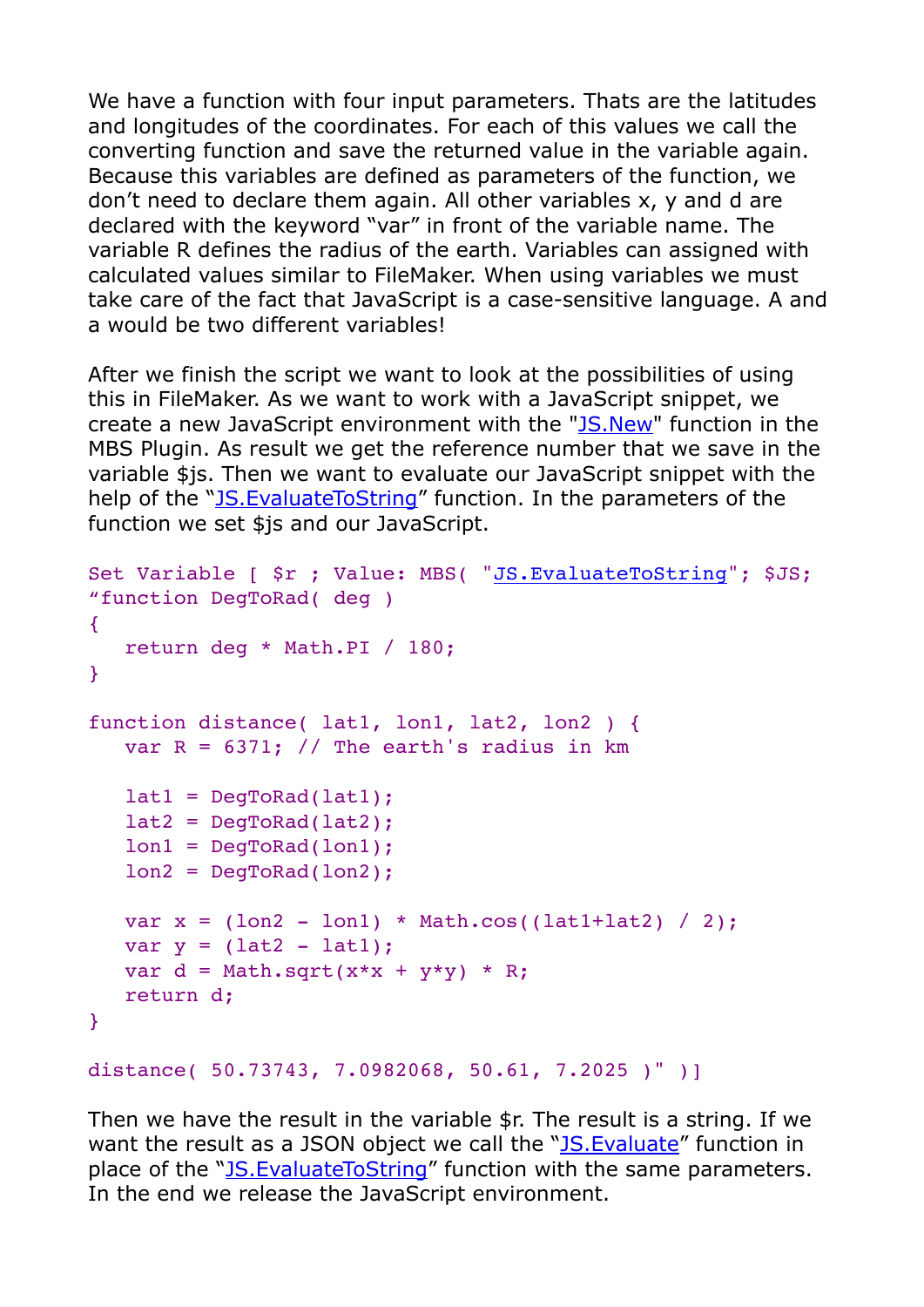We have a function with four input parameters. Thats are the latitudes and longitudes of the coordinates. For each of this values we call the converting function and save the returned value in the variable again. Because this variables are defined as parameters of the function, we don't need to declare them again. All other variables x, y and d are declared with the keyword "var" in front of the variable name. The variable R defines the radius of the earth. Variables can assigned with calculated values similar to FileMaker. When using variables we must take care of the fact that JavaScript is a case-sensitive language. A and a would be two different variables!

After we finish the script we want to look at the possibilities of using this in FileMaker. As we want to work with a JavaScript snippet, we create a new JavaScript environment with the "[JS.New"](https://www.mbsplugins.eu/JSNew.shtml) function in the MBS Plugin. As result we get the reference number that we save in the variable \$js. Then we want to evaluate our JavaScript snippet with the help of the "[JS.EvaluateToString](https://www.mbsplugins.eu/JSEvaluateToString.shtml)" function. In the parameters of the function we set \$js and our JavaScript.

```
Set Variable [ \frac{5}{1}"JS.EvaluateToString"; $JS;
"function DegToRad( deg ) 
{
   return deg * Math.PI / 180;
}
function distance( lat1, lon1, lat2, lon2 ) {
  var R = 6371; // The earth's radius in kmlat1 = DegToRad(Iat1);lat2 = DegToRad(Lat2);lon1 = DegToRad(lon1);lon2 = DegToRad(lon2);var x = (lon2 - lon1) * Math.cos((lat1+lat2) / 2);var y = (lat2 - lat1);var d = Math.sqrt(x*x + y*y) * R; return d;
}
```

```
distance( 50.73743, 7.0982068, 50.61, 7.2025 )" )]
```
Then we have the result in the variable \$r. The result is a string. If we want the result as a JSON object we call the "JS. Evaluate" function in place of the ["JS.EvaluateToString"](https://www.mbsplugins.eu/JSEvaluateToString.shtml) function with the same parameters. In the end we release the JavaScript environment.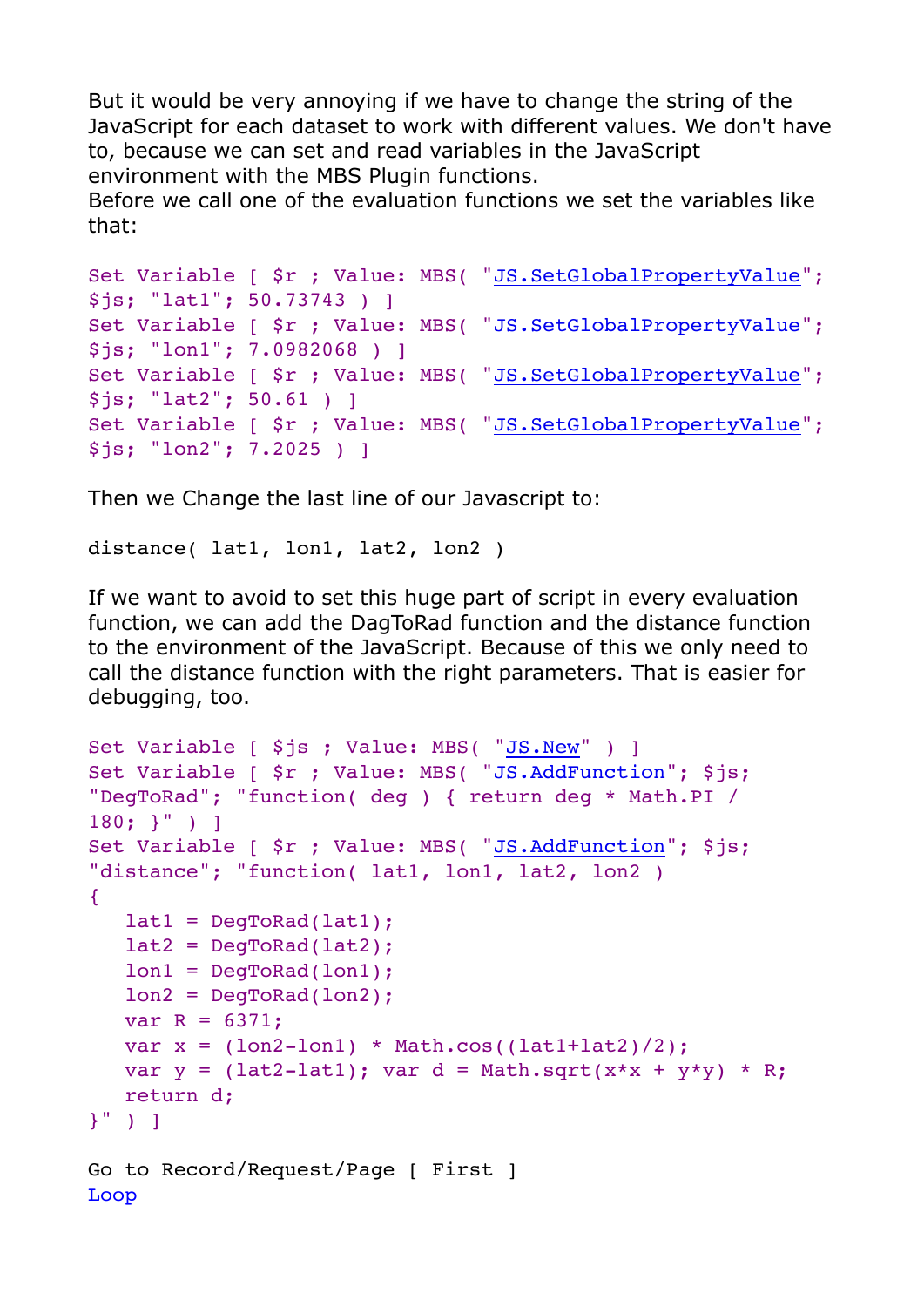But it would be very annoying if we have to change the string of the JavaScript for each dataset to work with different values. We don't have to, because we can set and read variables in the JavaScript environment with the MBS Plugin functions.

Before we call one of the evaluation functions we set the variables like that:

```
Set Variable [ $r ; Value: MBS( "JS.SetGlobalPropertyValue"; 
$js; "lat1"; 50.73743 ) 1
"JS.SetGlobalPropertyValue";
$js; "lon1"; 7.0982068 ) 1
"JS.SetGlobalPropertyValue";
$js; "lat2"; 50.61 ) ] 
"JS.SetGlobalPropertyValue";
$js; "lon2"; 7.2025 ) 1
```
Then we Change the last line of our Javascript to:

distance( lat1, lon1, lat2, lon2 )

If we want to avoid to set this huge part of script in every evaluation function, we can add the DagToRad function and the distance function to the environment of the JavaScript. Because of this we only need to call the distance function with the right parameters. That is easier for debugging, too.

```
"JS.New" ) ]
Set Variable [ \frac{5}{15}"JS.AddFunction"; $js;
"DegToRad"; "function( deg ) { return deg * Math.PI / 
180; }" ) ] 
Set Variable [ \frac{5}{1}"JS.AddFunction"; $js;
"distance"; "function( lat1, lon1, lat2, lon2 ) 
\{lat1 = DegToRad(Iat1);lat2 = DegToRad(Iat2);lon1 = DegToRad(lon1);lon2 = DegToRad(lon2);var R = 6371:var x = (lon2-lon1) * Math.cos((lat1+lat2)/2);var y = (lat2-lat1); var d = Math.sqrt(x*x + y*y) * R;
   return d;
}" ) ]
Go to Record/Request/Page [ First ]
```